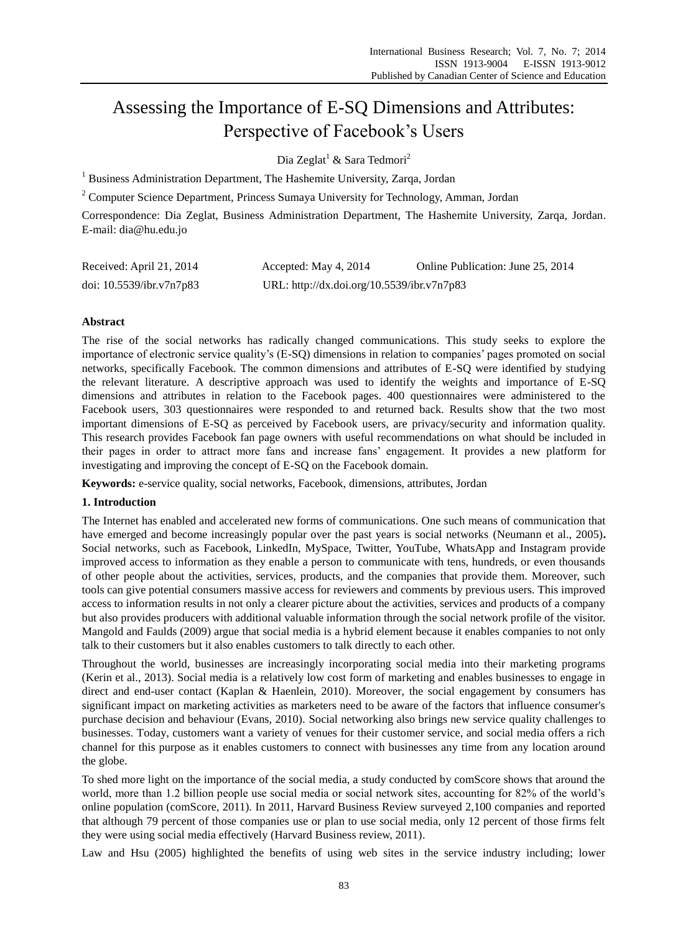# Assessing the Importance of E-SQ Dimensions and Attributes: Perspective of Facebook's Users

Dia Zeglat<sup>1</sup> & Sara Tedmori<sup>2</sup>

<sup>1</sup> Business Administration Department, The Hashemite University, Zarqa, Jordan

<sup>2</sup> Computer Science Department, Princess Sumaya University for Technology, Amman, Jordan

Correspondence: Dia Zeglat, Business Administration Department, The Hashemite University, Zarqa, Jordan. E-mail: dia@hu.edu.jo

| Received: April 21, 2014    | Accepted: May 4, 2014                      | Online Publication: June 25, 2014 |
|-----------------------------|--------------------------------------------|-----------------------------------|
| doi: $10.5539$ /ibr.v7n7p83 | URL: http://dx.doi.org/10.5539/ibr.v7n7p83 |                                   |

# **Abstract**

The rise of the social networks has radically changed communications. This study seeks to explore the importance of electronic service quality's (E-SQ) dimensions in relation to companies' pages promoted on social networks, specifically Facebook. The common dimensions and attributes of E-SQ were identified by studying the relevant literature. A descriptive approach was used to identify the weights and importance of E-SQ dimensions and attributes in relation to the Facebook pages. 400 questionnaires were administered to the Facebook users, 303 questionnaires were responded to and returned back. Results show that the two most important dimensions of E-SQ as perceived by Facebook users, are privacy/security and information quality. This research provides Facebook fan page owners with useful recommendations on what should be included in their pages in order to attract more fans and increase fans' engagement. It provides a new platform for investigating and improving the concept of E-SQ on the Facebook domain.

**Keywords:** e-service quality, social networks, Facebook, dimensions, attributes, Jordan

# **1. Introduction**

The Internet has enabled and accelerated new forms of communications. One such means of communication that have emerged and become increasingly popular over the past years is social networks (Neumann et al., 2005)**.**  Social networks, such as Facebook, LinkedIn, MySpace, Twitter, YouTube, WhatsApp and Instagram provide improved access to information as they enable a person to communicate with tens, hundreds, or even thousands of other people about the activities, services, products, and the companies that provide them. Moreover, such tools can give potential consumers massive access for reviewers and comments by previous users. This improved access to information results in not only a clearer picture about the activities, services and products of a company but also provides producers with additional valuable information through the social network profile of the visitor. Mangold and Faulds (2009) argue that social media is a hybrid element because it enables companies to not only talk to their customers but it also enables customers to talk directly to each other.

Throughout the world, businesses are increasingly incorporating social media into their marketing programs (Kerin et al., 2013). Social media is a relatively low cost form of marketing and enables businesses to engage in direct and end-user contact (Kaplan & Haenlein, 2010). Moreover, the social engagement by consumers has significant impact on marketing activities as marketers need to be aware of the factors that influence consumer's purchase decision and behaviour (Evans, 2010). Social networking also brings new service quality challenges to businesses. Today, customers want a variety of venues for their customer service, and social media offers a rich channel for this purpose as it enables customers to connect with businesses any time from any location around the globe.

To shed more light on the importance of the social media, a study conducted by comScore shows that around the world, more than 1.2 billion people use social media or social network sites, accounting for 82% of the world's online population (comScore, 2011). In 2011, Harvard Business Review surveyed 2,100 companies and reported that although 79 percent of those companies use or plan to use social media, only 12 percent of those firms felt they were using social media effectively (Harvard Business review, 2011).

Law and Hsu (2005) highlighted the benefits of using web sites in the service industry including; lower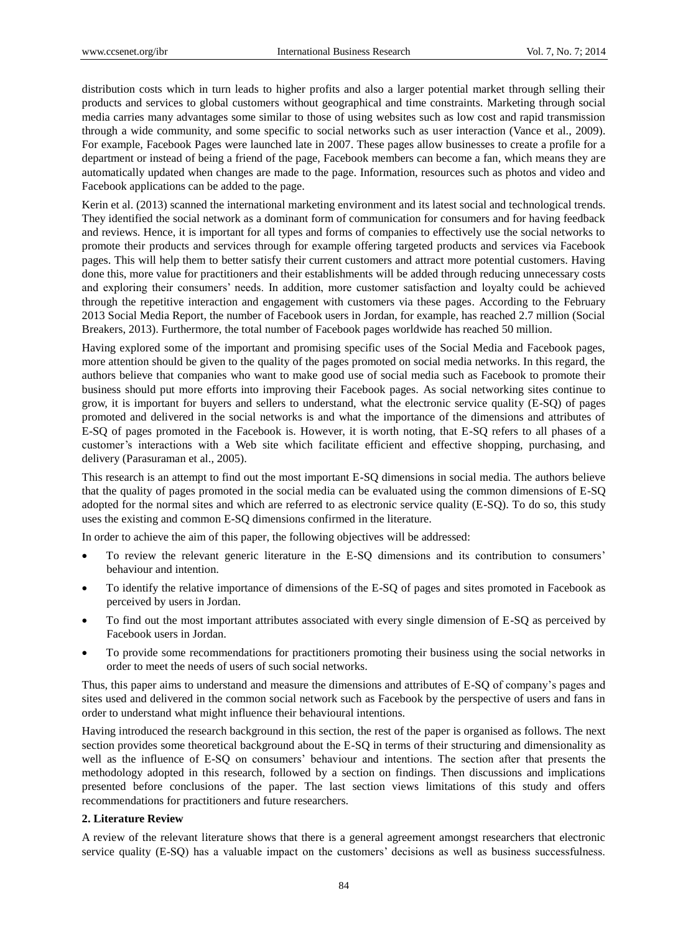distribution costs which in turn leads to higher profits and also a larger potential market through selling their products and services to global customers without geographical and time constraints. Marketing through social media carries many advantages some similar to those of using websites such as low cost and rapid transmission through a wide community, and some specific to social networks such as user interaction (Vance et al., 2009). For example, Facebook Pages were launched late in 2007. These pages allow businesses to create a profile for a department or instead of being a friend of the page, Facebook members can become a fan, which means they are automatically updated when changes are made to the page. Information, resources such as photos and video and Facebook applications can be added to the page.

Kerin et al. (2013) scanned the international marketing environment and its latest social and technological trends. They identified the social network as a dominant form of communication for consumers and for having feedback and reviews. Hence, it is important for all types and forms of companies to effectively use the social networks to promote their products and services through for example offering targeted products and services via Facebook pages. This will help them to better satisfy their current customers and attract more potential customers. Having done this, more value for practitioners and their establishments will be added through reducing unnecessary costs and exploring their consumers' needs. In addition, more customer satisfaction and loyalty could be achieved through the repetitive interaction and engagement with customers via these pages. According to the February 2013 Social Media Report, the number of Facebook users in Jordan, for example, has reached 2.7 million (Social Breakers, 2013). Furthermore, the total number of Facebook pages worldwide has reached 50 million.

Having explored some of the important and promising specific uses of the Social Media and Facebook pages, more attention should be given to the quality of the pages promoted on social media networks. In this regard, the authors believe that companies who want to make good use of social media such as Facebook to promote their business should put more efforts into improving their Facebook pages. As social networking sites continue to grow, it is important for buyers and sellers to understand, what the electronic service quality (E-SQ) of pages promoted and delivered in the social networks is and what the importance of the dimensions and attributes of E-SQ of pages promoted in the Facebook is. However, it is worth noting, that E-SQ refers to all phases of a customer's interactions with a Web site which facilitate efficient and effective shopping, purchasing, and delivery (Parasuraman et al., 2005).

This research is an attempt to find out the most important E-SQ dimensions in social media. The authors believe that the quality of pages promoted in the social media can be evaluated using the common dimensions of E-SQ adopted for the normal sites and which are referred to as electronic service quality (E-SQ). To do so, this study uses the existing and common E-SQ dimensions confirmed in the literature.

In order to achieve the aim of this paper, the following objectives will be addressed:

- To review the relevant generic literature in the E-SQ dimensions and its contribution to consumers' behaviour and intention.
- To identify the relative importance of dimensions of the E-SQ of pages and sites promoted in Facebook as perceived by users in Jordan.
- To find out the most important attributes associated with every single dimension of E-SQ as perceived by Facebook users in Jordan.
- To provide some recommendations for practitioners promoting their business using the social networks in order to meet the needs of users of such social networks.

Thus, this paper aims to understand and measure the dimensions and attributes of E-SQ of company's pages and sites used and delivered in the common social network such as Facebook by the perspective of users and fans in order to understand what might influence their behavioural intentions.

Having introduced the research background in this section, the rest of the paper is organised as follows. The next section provides some theoretical background about the E-SQ in terms of their structuring and dimensionality as well as the influence of E-SQ on consumers' behaviour and intentions. The section after that presents the methodology adopted in this research, followed by a section on findings. Then discussions and implications presented before conclusions of the paper. The last section views limitations of this study and offers recommendations for practitioners and future researchers.

#### **2. Literature Review**

A review of the relevant literature shows that there is a general agreement amongst researchers that electronic service quality (E-SQ) has a valuable impact on the customers' decisions as well as business successfulness.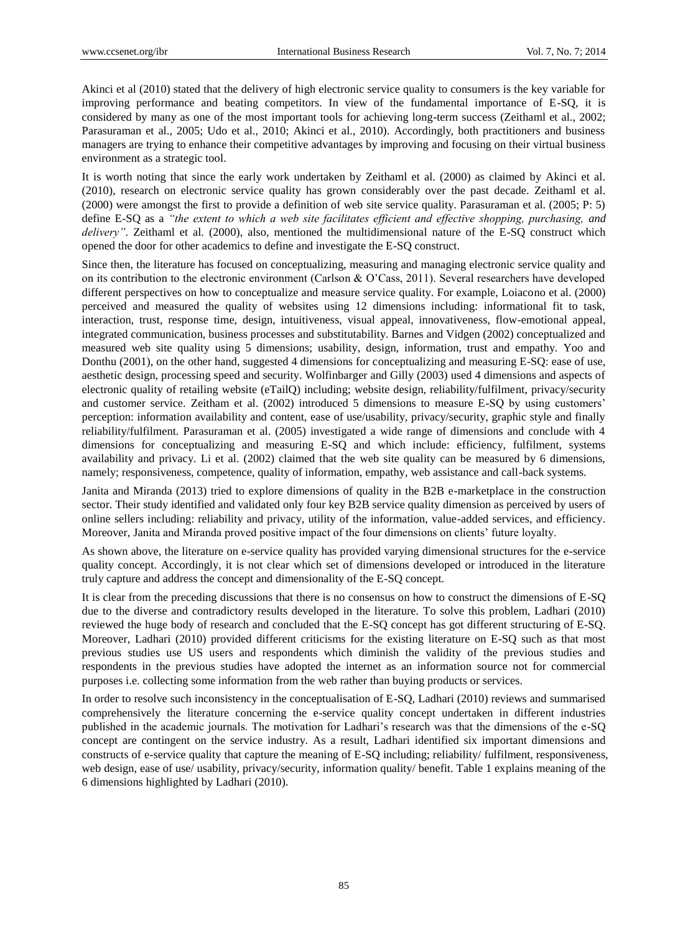Akinci et al (2010) stated that the delivery of high electronic service quality to consumers is the key variable for improving performance and beating competitors. In view of the fundamental importance of E-SQ, it is considered by many as one of the most important tools for achieving long-term success (Zeithaml et al., 2002; Parasuraman et al., 2005; Udo et al., 2010; Akinci et al., 2010). Accordingly, both practitioners and business managers are trying to enhance their competitive advantages by improving and focusing on their virtual business environment as a strategic tool.

It is worth noting that since the early work undertaken by Zeithaml et al. (2000) as claimed by Akinci et al. (2010), research on electronic service quality has grown considerably over the past decade. Zeithaml et al. (2000) were amongst the first to provide a definition of web site service quality. Parasuraman et al. (2005; P: 5) define E-SQ as a *"the extent to which a web site facilitates efficient and effective shopping, purchasing, and delivery"*. Zeithaml et al. (2000), also, mentioned the multidimensional nature of the E-SQ construct which opened the door for other academics to define and investigate the E-SQ construct.

Since then, the literature has focused on conceptualizing, measuring and managing electronic service quality and on its contribution to the electronic environment (Carlson & O'Cass, 2011). Several researchers have developed different perspectives on how to conceptualize and measure service quality. For example, Loiacono et al. (2000) perceived and measured the quality of websites using 12 dimensions including: informational fit to task, interaction, trust, response time, design, intuitiveness, visual appeal, innovativeness, flow-emotional appeal, integrated communication, business processes and substitutability. Barnes and Vidgen (2002) conceptualized and measured web site quality using 5 dimensions; usability, design, information, trust and empathy. Yoo and Donthu (2001), on the other hand, suggested 4 dimensions for conceptualizing and measuring E-SQ: ease of use, aesthetic design, processing speed and security. Wolfinbarger and Gilly (2003) used 4 dimensions and aspects of electronic quality of retailing website (eTailQ) including; website design, reliability/fulfilment, privacy/security and customer service. Zeitham et al. (2002) introduced 5 dimensions to measure E-SQ by using customers' perception: information availability and content, ease of use/usability, privacy/security, graphic style and finally reliability/fulfilment. Parasuraman et al. (2005) investigated a wide range of dimensions and conclude with 4 dimensions for conceptualizing and measuring E-SQ and which include: efficiency, fulfilment, systems availability and privacy. Li et al. (2002) claimed that the web site quality can be measured by 6 dimensions, namely; responsiveness, competence, quality of information, empathy, web assistance and call-back systems.

Janita and Miranda (2013) tried to explore dimensions of quality in the B2B e-marketplace in the construction sector. Their study identified and validated only four key B2B service quality dimension as perceived by users of online sellers including: reliability and privacy, utility of the information, value-added services, and efficiency. Moreover, Janita and Miranda proved positive impact of the four dimensions on clients' future loyalty.

As shown above, the literature on e-service quality has provided varying dimensional structures for the e-service quality concept. Accordingly, it is not clear which set of dimensions developed or introduced in the literature truly capture and address the concept and dimensionality of the E-SQ concept.

It is clear from the preceding discussions that there is no consensus on how to construct the dimensions of E-SQ due to the diverse and contradictory results developed in the literature. To solve this problem, Ladhari (2010) reviewed the huge body of research and concluded that the E-SQ concept has got different structuring of E-SQ. Moreover, Ladhari (2010) provided different criticisms for the existing literature on E-SQ such as that most previous studies use US users and respondents which diminish the validity of the previous studies and respondents in the previous studies have adopted the internet as an information source not for commercial purposes i.e. collecting some information from the web rather than buying products or services.

In order to resolve such inconsistency in the conceptualisation of E-SQ, Ladhari (2010) reviews and summarised comprehensively the literature concerning the e-service quality concept undertaken in different industries published in the academic journals. The motivation for Ladhari's research was that the dimensions of the e-SQ concept are contingent on the service industry. As a result, Ladhari identified six important dimensions and constructs of e-service quality that capture the meaning of E-SQ including; reliability/ fulfilment, responsiveness, web design, ease of use/ usability, privacy/security, information quality/ benefit. Table 1 explains meaning of the 6 dimensions highlighted by Ladhari (2010).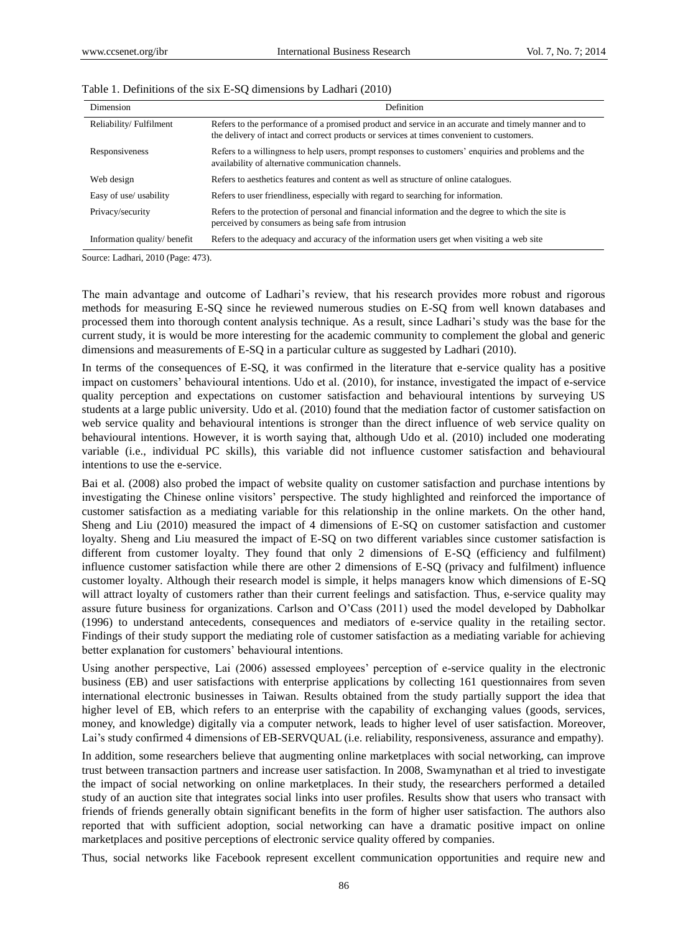| Dimension                   | Definition                                                                                                                                                                                       |
|-----------------------------|--------------------------------------------------------------------------------------------------------------------------------------------------------------------------------------------------|
| Reliability/Fulfilment      | Refers to the performance of a promised product and service in an accurate and timely manner and to<br>the delivery of intact and correct products or services at times convenient to customers. |
| Responsiveness              | Refers to a willingness to help users, prompt responses to customers' enquiries and problems and the<br>availability of alternative communication channels.                                      |
| Web design                  | Refers to aesthetics features and content as well as structure of online catalogues.                                                                                                             |
| Easy of use/ usability      | Refers to user friendliness, especially with regard to searching for information.                                                                                                                |
| Privacy/security            | Refers to the protection of personal and financial information and the degree to which the site is<br>perceived by consumers as being safe from intrusion                                        |
| Information quality/benefit | Refers to the adequacy and accuracy of the information users get when visiting a web site                                                                                                        |

| Table 1. Definitions of the six E-SQ dimensions by Ladhari (2010) |  |  |  |  |  |
|-------------------------------------------------------------------|--|--|--|--|--|
|-------------------------------------------------------------------|--|--|--|--|--|

Source: Ladhari, 2010 (Page: 473).

The main advantage and outcome of Ladhari's review, that his research provides more robust and rigorous methods for measuring E-SQ since he reviewed numerous studies on E-SQ from well known databases and processed them into thorough content analysis technique. As a result, since Ladhari's study was the base for the current study, it is would be more interesting for the academic community to complement the global and generic dimensions and measurements of E-SQ in a particular culture as suggested by Ladhari (2010).

In terms of the consequences of E-SQ, it was confirmed in the literature that e-service quality has a positive impact on customers' behavioural intentions. Udo et al. (2010), for instance, investigated the impact of e-service quality perception and expectations on customer satisfaction and behavioural intentions by surveying US students at a large public university. Udo et al. (2010) found that the mediation factor of customer satisfaction on web service quality and behavioural intentions is stronger than the direct influence of web service quality on behavioural intentions. However, it is worth saying that, although Udo et al. (2010) included one moderating variable (i.e., individual PC skills), this variable did not influence customer satisfaction and behavioural intentions to use the e-service.

Bai et al. (2008) also probed the impact of website quality on customer satisfaction and purchase intentions by investigating the Chinese online visitors' perspective. The study highlighted and reinforced the importance of customer satisfaction as a mediating variable for this relationship in the online markets. On the other hand, Sheng and Liu (2010) measured the impact of 4 dimensions of E-SQ on customer satisfaction and customer loyalty. Sheng and Liu measured the impact of E-SQ on two different variables since customer satisfaction is different from customer loyalty. They found that only 2 dimensions of E-SQ (efficiency and fulfilment) influence customer satisfaction while there are other 2 dimensions of E-SQ (privacy and fulfilment) influence customer loyalty. Although their research model is simple, it helps managers know which dimensions of E-SQ will attract loyalty of customers rather than their current feelings and satisfaction. Thus, e-service quality may assure future business for organizations. Carlson and O'Cass (2011) used the model developed by Dabholkar (1996) to understand antecedents, consequences and mediators of e-service quality in the retailing sector. Findings of their study support the mediating role of customer satisfaction as a mediating variable for achieving better explanation for customers' behavioural intentions.

Using another perspective, Lai (2006) assessed employees' perception of e-service quality in the electronic business (EB) and user satisfactions with enterprise applications by collecting 161 questionnaires from seven international electronic businesses in Taiwan. Results obtained from the study partially support the idea that higher level of EB, which refers to an enterprise with the capability of exchanging values (goods, services, money, and knowledge) digitally via a computer network, leads to higher level of user satisfaction. Moreover, Lai's study confirmed 4 dimensions of EB-SERVQUAL (i.e. reliability, responsiveness, assurance and empathy).

In addition, some researchers believe that augmenting online marketplaces with social networking, can improve trust between transaction partners and increase user satisfaction. In 2008, Swamynathan et al tried to investigate the impact of social networking on online marketplaces. In their study, the researchers performed a detailed study of an auction site that integrates social links into user profiles. Results show that users who transact with friends of friends generally obtain significant benefits in the form of higher user satisfaction. The authors also reported that with sufficient adoption, social networking can have a dramatic positive impact on online marketplaces and positive perceptions of electronic service quality offered by companies.

Thus, social networks like Facebook represent excellent communication opportunities and require new and

86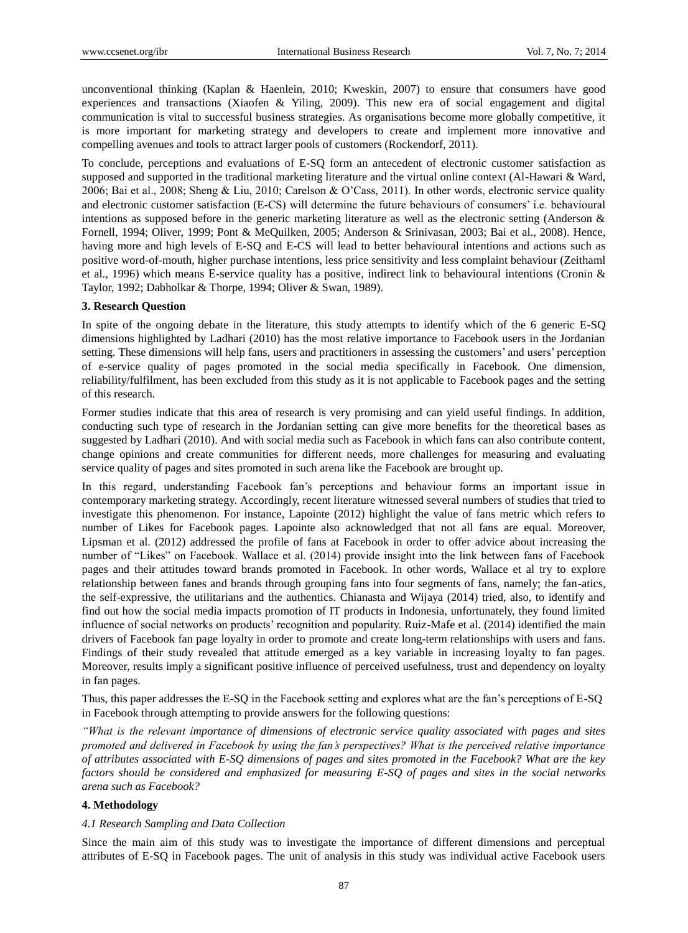unconventional thinking (Kaplan & Haenlein, 2010; Kweskin, 2007) to ensure that consumers have good experiences and transactions (Xiaofen & Yiling, 2009). This new era of social engagement and digital communication is vital to successful business strategies. As organisations become more globally competitive, it is more important for marketing strategy and developers to create and implement more innovative and compelling avenues and tools to attract larger pools of customers (Rockendorf, 2011).

To conclude, perceptions and evaluations of E-SQ form an antecedent of electronic customer satisfaction as supposed and supported in the traditional marketing literature and the virtual online context (Al-Hawari & Ward, 2006; Bai et al., 2008; Sheng & Liu, 2010; Carelson & O'Cass, 2011). In other words, electronic service quality and electronic customer satisfaction (E-CS) will determine the future behaviours of consumers' i.e. behavioural intentions as supposed before in the generic marketing literature as well as the electronic setting (Anderson & Fornell, 1994; Oliver, 1999; Pont & MeQuilken, 2005; Anderson & Srinivasan, 2003; Bai et al., 2008). Hence, having more and high levels of E-SQ and E-CS will lead to better behavioural intentions and actions such as positive word-of-mouth, higher purchase intentions, less price sensitivity and less complaint behaviour (Zeithaml et al., 1996) which means E-service quality has a positive, indirect link to behavioural intentions (Cronin & Taylor, 1992; Dabholkar & Thorpe, 1994; Oliver & Swan, 1989).

#### **3. Research Question**

In spite of the ongoing debate in the literature, this study attempts to identify which of the 6 generic E-SQ dimensions highlighted by Ladhari (2010) has the most relative importance to Facebook users in the Jordanian setting. These dimensions will help fans, users and practitioners in assessing the customers' and users' perception of e-service quality of pages promoted in the social media specifically in Facebook. One dimension, reliability/fulfilment, has been excluded from this study as it is not applicable to Facebook pages and the setting of this research.

Former studies indicate that this area of research is very promising and can yield useful findings. In addition, conducting such type of research in the Jordanian setting can give more benefits for the theoretical bases as suggested by Ladhari (2010). And with social media such as Facebook in which fans can also contribute content, change opinions and create communities for different needs, more challenges for measuring and evaluating service quality of pages and sites promoted in such arena like the Facebook are brought up.

In this regard, understanding Facebook fan's perceptions and behaviour forms an important issue in contemporary marketing strategy. Accordingly, recent literature witnessed several numbers of studies that tried to investigate this phenomenon. For instance, Lapointe (2012) highlight the value of fans metric which refers to number of Likes for Facebook pages. Lapointe also acknowledged that not all fans are equal. Moreover, Lipsman et al. (2012) addressed the profile of fans at Facebook in order to offer advice about increasing the number of "Likes" on Facebook. Wallace et al. (2014) provide insight into the link between fans of Facebook pages and their attitudes toward brands promoted in Facebook. In other words, Wallace et al try to explore relationship between fanes and brands through grouping fans into four segments of fans, namely; the fan-atics, the self-expressive, the utilitarians and the authentics. Chianasta and Wijaya (2014) tried, also, to identify and find out how the social media impacts promotion of IT products in Indonesia, unfortunately, they found limited influence of social networks on products' recognition and popularity. Ruiz-Mafe et al. (2014) identified the main drivers of Facebook fan page loyalty in order to promote and create long-term relationships with users and fans. Findings of their study revealed that attitude emerged as a key variable in increasing loyalty to fan pages. Moreover, results imply a significant positive influence of perceived usefulness, trust and dependency on loyalty in fan pages.

Thus, this paper addresses the E-SQ in the Facebook setting and explores what are the fan's perceptions of E-SQ in Facebook through attempting to provide answers for the following questions:

*"What is the relevant importance of dimensions of electronic service quality associated with pages and sites promoted and delivered in Facebook by using the fan's perspectives? What is the perceived relative importance of attributes associated with E-SQ dimensions of pages and sites promoted in the Facebook? What are the key factors should be considered and emphasized for measuring E-SQ of pages and sites in the social networks arena such as Facebook?*

### **4. Methodology**

#### *4.1 Research Sampling and Data Collection*

Since the main aim of this study was to investigate the importance of different dimensions and perceptual attributes of E-SQ in Facebook pages. The unit of analysis in this study was individual active Facebook users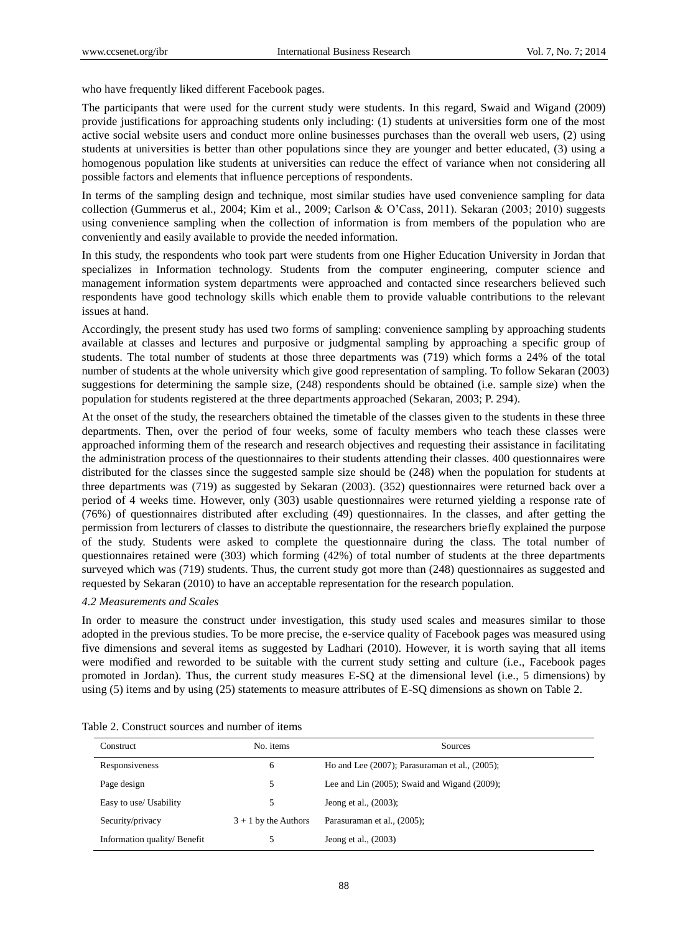who have frequently liked different Facebook pages.

The participants that were used for the current study were students. In this regard, Swaid and Wigand (2009) provide justifications for approaching students only including: (1) students at universities form one of the most active social website users and conduct more online businesses purchases than the overall web users, (2) using students at universities is better than other populations since they are younger and better educated, (3) using a homogenous population like students at universities can reduce the effect of variance when not considering all possible factors and elements that influence perceptions of respondents.

In terms of the sampling design and technique, most similar studies have used convenience sampling for data collection (Gummerus et al., 2004; Kim et al., 2009; Carlson & O'Cass, 2011). Sekaran (2003; 2010) suggests using convenience sampling when the collection of information is from members of the population who are conveniently and easily available to provide the needed information.

In this study, the respondents who took part were students from one Higher Education University in Jordan that specializes in Information technology. Students from the computer engineering, computer science and management information system departments were approached and contacted since researchers believed such respondents have good technology skills which enable them to provide valuable contributions to the relevant issues at hand.

Accordingly, the present study has used two forms of sampling: convenience sampling by approaching students available at classes and lectures and purposive or judgmental sampling by approaching a specific group of students. The total number of students at those three departments was (719) which forms a 24% of the total number of students at the whole university which give good representation of sampling. To follow Sekaran (2003) suggestions for determining the sample size, (248) respondents should be obtained (i.e. sample size) when the population for students registered at the three departments approached (Sekaran, 2003; P. 294).

At the onset of the study, the researchers obtained the timetable of the classes given to the students in these three departments. Then, over the period of four weeks, some of faculty members who teach these classes were approached informing them of the research and research objectives and requesting their assistance in facilitating the administration process of the questionnaires to their students attending their classes. 400 questionnaires were distributed for the classes since the suggested sample size should be (248) when the population for students at three departments was (719) as suggested by Sekaran (2003). (352) questionnaires were returned back over a period of 4 weeks time. However, only (303) usable questionnaires were returned yielding a response rate of (76%) of questionnaires distributed after excluding (49) questionnaires. In the classes, and after getting the permission from lecturers of classes to distribute the questionnaire, the researchers briefly explained the purpose of the study. Students were asked to complete the questionnaire during the class. The total number of questionnaires retained were (303) which forming (42%) of total number of students at the three departments surveyed which was (719) students. Thus, the current study got more than (248) questionnaires as suggested and requested by Sekaran (2010) to have an acceptable representation for the research population.

## *4.2 Measurements and Scales*

In order to measure the construct under investigation, this study used scales and measures similar to those adopted in the previous studies. To be more precise, the e-service quality of Facebook pages was measured using five dimensions and several items as suggested by Ladhari (2010). However, it is worth saying that all items were modified and reworded to be suitable with the current study setting and culture (i.e., Facebook pages promoted in Jordan). Thus, the current study measures E-SQ at the dimensional level (i.e., 5 dimensions) by using (5) items and by using (25) statements to measure attributes of E-SQ dimensions as shown on Table 2.

| Construct                    | No. items              | Sources                                              |
|------------------------------|------------------------|------------------------------------------------------|
| Responsiveness               | 6                      | Ho and Lee $(2007)$ ; Parasuraman et al., $(2005)$ ; |
| Page design                  | 5                      | Lee and Lin (2005); Swaid and Wigand (2009);         |
| Easy to use/ Usability       | 5.                     | Jeong et al., (2003);                                |
| Security/privacy             | $3 + 1$ by the Authors | Parasuraman et al., (2005);                          |
| Information quality/ Benefit |                        | Jeong et al., (2003)                                 |

Table 2. Construct sources and number of items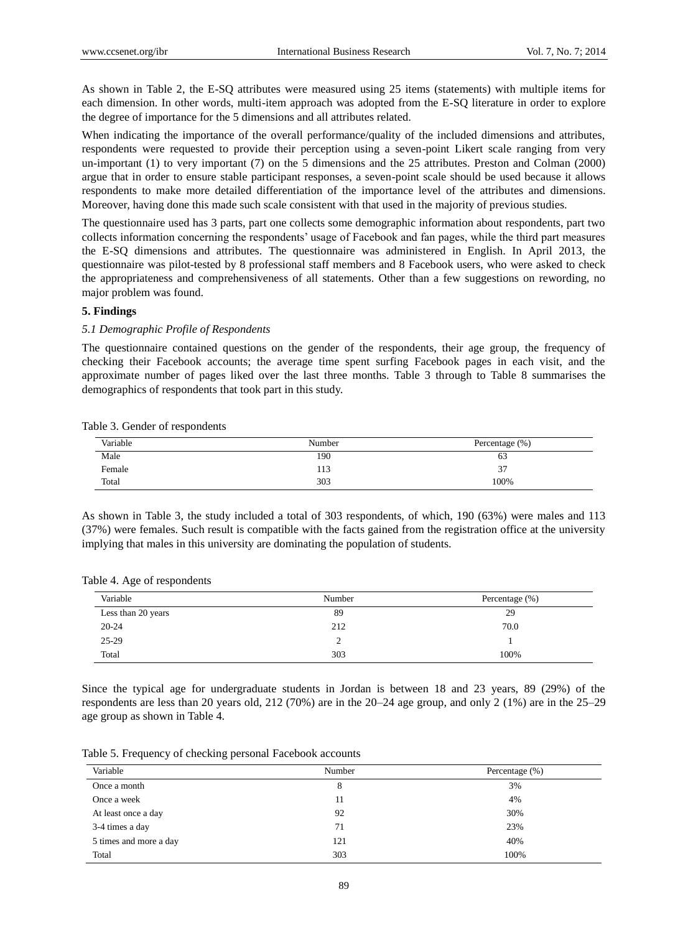As shown in Table 2, the E-SQ attributes were measured using 25 items (statements) with multiple items for each dimension. In other words, multi-item approach was adopted from the E-SQ literature in order to explore the degree of importance for the 5 dimensions and all attributes related.

When indicating the importance of the overall performance/quality of the included dimensions and attributes, respondents were requested to provide their perception using a seven-point Likert scale ranging from very un-important (1) to very important (7) on the 5 dimensions and the 25 attributes. Preston and Colman (2000) argue that in order to ensure stable participant responses, a seven-point scale should be used because it allows respondents to make more detailed differentiation of the importance level of the attributes and dimensions. Moreover, having done this made such scale consistent with that used in the majority of previous studies.

The questionnaire used has 3 parts, part one collects some demographic information about respondents, part two collects information concerning the respondents' usage of Facebook and fan pages, while the third part measures the E-SQ dimensions and attributes. The questionnaire was administered in English. In April 2013, the questionnaire was pilot-tested by 8 professional staff members and 8 Facebook users, who were asked to check the appropriateness and comprehensiveness of all statements. Other than a few suggestions on rewording, no major problem was found.

# **5. Findings**

## *5.1 Demographic Profile of Respondents*

The questionnaire contained questions on the gender of the respondents, their age group, the frequency of checking their Facebook accounts; the average time spent surfing Facebook pages in each visit, and the approximate number of pages liked over the last three months. Table 3 through to Table 8 summarises the demographics of respondents that took part in this study.

| Variable | Number | Percentage (%) |
|----------|--------|----------------|
| Male     | 190    | 63             |
| Female   | 113    | 37             |
| Total    | 303    | 100%           |

Table 3. Gender of respondents

As shown in Table 3, the study included a total of 303 respondents, of which, 190 (63%) were males and 113 (37%) were females. Such result is compatible with the facts gained from the registration office at the university implying that males in this university are dominating the population of students.

| Table 4. Age of respondents |  |  |
|-----------------------------|--|--|
|-----------------------------|--|--|

| Variable           | Number | Percentage (%) |
|--------------------|--------|----------------|
| Less than 20 years | 89     | 29             |
| $20 - 24$          | 212    | 70.0           |
| $25-29$            |        |                |
| Total              | 303    | 100%           |

Since the typical age for undergraduate students in Jordan is between 18 and 23 years, 89 (29%) of the respondents are less than 20 years old, 212 (70%) are in the 20–24 age group, and only 2 (1%) are in the 25–29 age group as shown in Table 4.

|  | Table 5. Frequency of checking personal Facebook accounts |  |  |
|--|-----------------------------------------------------------|--|--|
|  |                                                           |  |  |

| Variable               | Number | Percentage (%) |
|------------------------|--------|----------------|
| Once a month           | 8      | 3%             |
| Once a week            |        | 4%             |
| At least once a day    | 92     | 30%            |
| 3-4 times a day        | 71     | 23%            |
| 5 times and more a day | 121    | 40%            |
| Total                  | 303    | 100%           |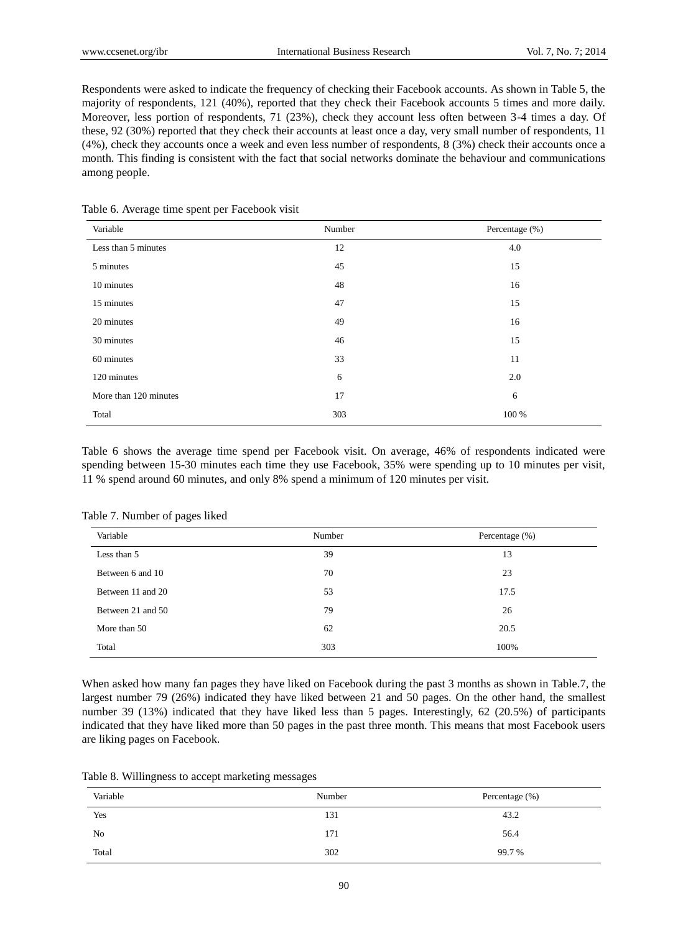Respondents were asked to indicate the frequency of checking their Facebook accounts. As shown in Table 5, the majority of respondents, 121 (40%), reported that they check their Facebook accounts 5 times and more daily. Moreover, less portion of respondents, 71 (23%), check they account less often between 3-4 times a day. Of these, 92 (30%) reported that they check their accounts at least once a day, very small number of respondents, 11 (4%), check they accounts once a week and even less number of respondents, 8 (3%) check their accounts once a month. This finding is consistent with the fact that social networks dominate the behaviour and communications among people.

| Variable              | Number | Percentage (%) |
|-----------------------|--------|----------------|
| Less than 5 minutes   | 12     | 4.0            |
| 5 minutes             | 45     | 15             |
| 10 minutes            | 48     | 16             |
| 15 minutes            | 47     | 15             |
| 20 minutes            | 49     | 16             |
| 30 minutes            | 46     | 15             |
| 60 minutes            | 33     | 11             |
| 120 minutes           | 6      | 2.0            |
| More than 120 minutes | 17     | 6              |
| Total                 | 303    | 100 %          |

Table 6. Average time spent per Facebook visit

Table 6 shows the average time spend per Facebook visit. On average, 46% of respondents indicated were spending between 15-30 minutes each time they use Facebook, 35% were spending up to 10 minutes per visit, 11 % spend around 60 minutes, and only 8% spend a minimum of 120 minutes per visit.

| Variable          | Number | Percentage (%) |
|-------------------|--------|----------------|
| Less than 5       | 39     | 13             |
| Between 6 and 10  | 70     | 23             |
| Between 11 and 20 | 53     | 17.5           |
| Between 21 and 50 | 79     | 26             |
| More than 50      | 62     | 20.5           |
| Total             | 303    | 100%           |

Table 7. Number of pages liked

When asked how many fan pages they have liked on Facebook during the past 3 months as shown in Table.7, the largest number 79 (26%) indicated they have liked between 21 and 50 pages. On the other hand, the smallest number 39 (13%) indicated that they have liked less than 5 pages. Interestingly, 62 (20.5%) of participants indicated that they have liked more than 50 pages in the past three month. This means that most Facebook users are liking pages on Facebook.

Table 8. Willingness to accept marketing messages

| Variable | Number | Percentage (%) |
|----------|--------|----------------|
| Yes      | 131    | 43.2           |
| No       | 171    | 56.4           |
| Total    | 302    | 99.7 %         |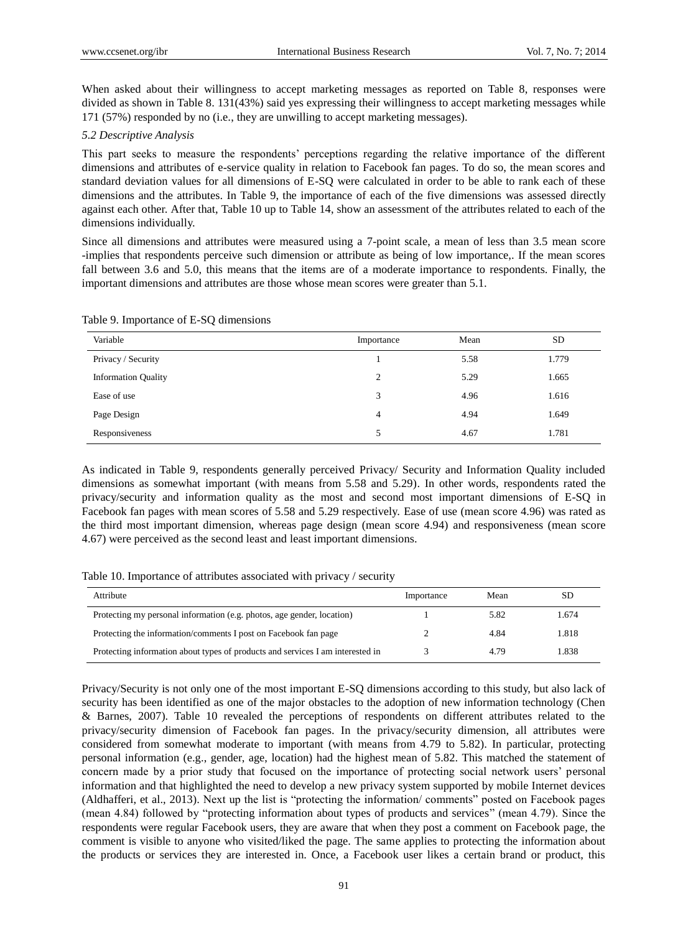When asked about their willingness to accept marketing messages as reported on Table 8, responses were divided as shown in Table 8. 131(43%) said yes expressing their willingness to accept marketing messages while 171 (57%) responded by no (i.e., they are unwilling to accept marketing messages).

# *5.2 Descriptive Analysis*

This part seeks to measure the respondents' perceptions regarding the relative importance of the different dimensions and attributes of e-service quality in relation to Facebook fan pages. To do so, the mean scores and standard deviation values for all dimensions of E-SQ were calculated in order to be able to rank each of these dimensions and the attributes. In Table 9, the importance of each of the five dimensions was assessed directly against each other. After that, Table 10 up to Table 14, show an assessment of the attributes related to each of the dimensions individually.

Since all dimensions and attributes were measured using a 7-point scale, a mean of less than 3.5 mean score -implies that respondents perceive such dimension or attribute as being of low importance,. If the mean scores fall between 3.6 and 5.0, this means that the items are of a moderate importance to respondents. Finally, the important dimensions and attributes are those whose mean scores were greater than 5.1.

| Variable                   | Importance     | Mean | <b>SD</b> |
|----------------------------|----------------|------|-----------|
| Privacy / Security         |                | 5.58 | 1.779     |
| <b>Information Quality</b> | $\overline{2}$ | 5.29 | 1.665     |
| Ease of use                | 3              | 4.96 | 1.616     |
| Page Design                | $\overline{4}$ | 4.94 | 1.649     |
| Responsiveness             | 5              | 4.67 | 1.781     |

#### Table 9. Importance of E-SQ dimensions

As indicated in Table 9, respondents generally perceived Privacy/ Security and Information Quality included dimensions as somewhat important (with means from 5.58 and 5.29). In other words, respondents rated the privacy/security and information quality as the most and second most important dimensions of E-SQ in Facebook fan pages with mean scores of 5.58 and 5.29 respectively. Ease of use (mean score 4.96) was rated as the third most important dimension, whereas page design (mean score 4.94) and responsiveness (mean score 4.67) were perceived as the second least and least important dimensions.

| Table 10. Importance of attributes associated with privacy / security |  |
|-----------------------------------------------------------------------|--|
|-----------------------------------------------------------------------|--|

| Attribute                                                                      | Importance | Mean | SD    |
|--------------------------------------------------------------------------------|------------|------|-------|
| Protecting my personal information (e.g. photos, age gender, location)         |            | 5.82 | 1.674 |
| Protecting the information/comments I post on Facebook fan page                |            | 4.84 | 1.818 |
| Protecting information about types of products and services I am interested in |            | 4.79 | 1.838 |

Privacy/Security is not only one of the most important E-SQ dimensions according to this study, but also lack of security has been identified as one of the major obstacles to the adoption of new information technology (Chen & Barnes, 2007). Table 10 revealed the perceptions of respondents on different attributes related to the privacy/security dimension of Facebook fan pages. In the privacy/security dimension, all attributes were considered from somewhat moderate to important (with means from 4.79 to 5.82). In particular, protecting personal information (e.g., gender, age, location) had the highest mean of 5.82. This matched the statement of concern made by a prior study that focused on the importance of protecting social network users' personal information and that highlighted the need to develop a new privacy system supported by mobile Internet devices (Aldhafferi, et al., 2013). Next up the list is "protecting the information/ comments" posted on Facebook pages (mean 4.84) followed by "protecting information about types of products and services" (mean 4.79). Since the respondents were regular Facebook users, they are aware that when they post a comment on Facebook page, the comment is visible to anyone who visited/liked the page. The same applies to protecting the information about the products or services they are interested in. Once, a Facebook user likes a certain brand or product, this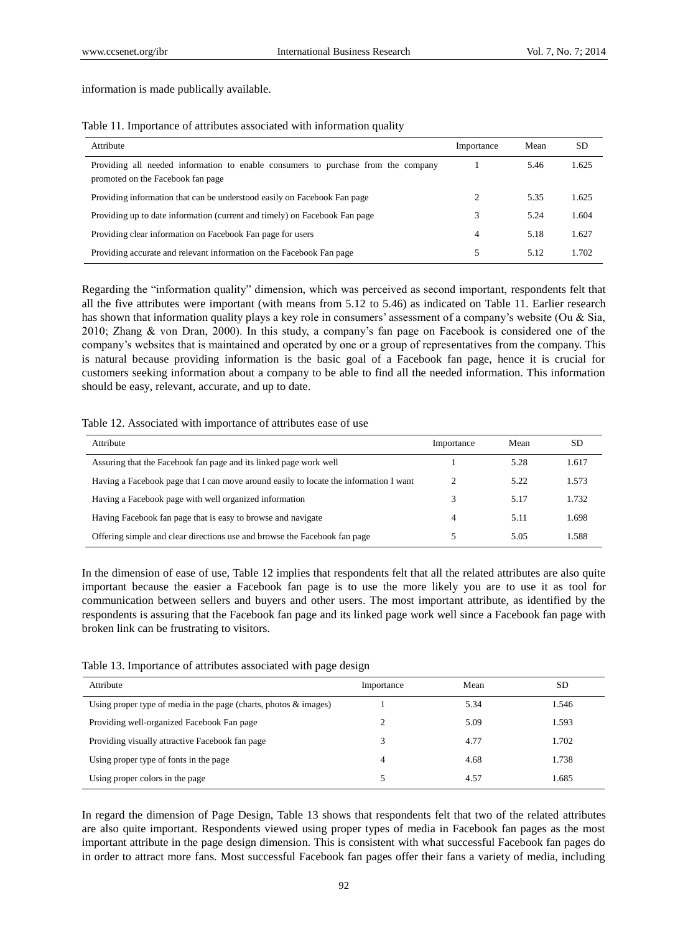information is made publically available.

| Table 11. Importance of attributes associated with information quality |  |  |
|------------------------------------------------------------------------|--|--|
|------------------------------------------------------------------------|--|--|

| Attribute                                                                                                              | Importance | Mean | SD    |
|------------------------------------------------------------------------------------------------------------------------|------------|------|-------|
| Providing all needed information to enable consumers to purchase from the company<br>promoted on the Facebook fan page |            | 5.46 | 1.625 |
| Providing information that can be understood easily on Facebook Fan page                                               |            | 5.35 | 1.625 |
| Providing up to date information (current and timely) on Facebook Fan page                                             | 3          | 5.24 | 1.604 |
| Providing clear information on Facebook Fan page for users                                                             | 4          | 5.18 | 1.627 |
| Providing accurate and relevant information on the Facebook Fan page                                                   |            | 5.12 | 1.702 |

Regarding the "information quality" dimension, which was perceived as second important, respondents felt that all the five attributes were important (with means from 5.12 to 5.46) as indicated on Table 11. Earlier research has shown that information quality plays a key role in consumers' assessment of a company's website (Ou & Sia, 2010; Zhang & von Dran, 2000). In this study, a company's fan page on Facebook is considered one of the company's websites that is maintained and operated by one or a group of representatives from the company. This is natural because providing information is the basic goal of a Facebook fan page, hence it is crucial for customers seeking information about a company to be able to find all the needed information. This information should be easy, relevant, accurate, and up to date.

| Table 12. Associated with importance of attributes ease of use |  |  |
|----------------------------------------------------------------|--|--|
|----------------------------------------------------------------|--|--|

| Attribute                                                                             | Importance | Mean | SD.   |
|---------------------------------------------------------------------------------------|------------|------|-------|
| Assuring that the Facebook fan page and its linked page work well                     |            | 5.28 | 1.617 |
| Having a Facebook page that I can move around easily to locate the information I want |            | 5.22 | 1.573 |
| Having a Facebook page with well organized information                                |            | 5.17 | 1.732 |
| Having Facebook fan page that is easy to browse and navigate                          | 4          | 5.11 | 1.698 |
| Offering simple and clear directions use and browse the Facebook fan page             |            | 5.05 | 1.588 |

In the dimension of ease of use, Table 12 implies that respondents felt that all the related attributes are also quite important because the easier a Facebook fan page is to use the more likely you are to use it as tool for communication between sellers and buyers and other users. The most important attribute, as identified by the respondents is assuring that the Facebook fan page and its linked page work well since a Facebook fan page with broken link can be frustrating to visitors.

|  | Table 13. Importance of attributes associated with page design |  |  |  |
|--|----------------------------------------------------------------|--|--|--|
|  |                                                                |  |  |  |

| Attribute                                                           | Importance | Mean | <b>SD</b> |
|---------------------------------------------------------------------|------------|------|-----------|
| Using proper type of media in the page (charts, photos $\&$ images) |            | 5.34 | 1.546     |
| Providing well-organized Facebook Fan page                          |            | 5.09 | 1.593     |
| Providing visually attractive Facebook fan page                     |            | 4.77 | 1.702     |
| Using proper type of fonts in the page                              | 4          | 4.68 | 1.738     |
| Using proper colors in the page                                     |            | 4.57 | 1.685     |

In regard the dimension of Page Design, Table 13 shows that respondents felt that two of the related attributes are also quite important. Respondents viewed using proper types of media in Facebook fan pages as the most important attribute in the page design dimension. This is consistent with what successful Facebook fan pages do in order to attract more fans. Most successful Facebook fan pages offer their fans a variety of media, including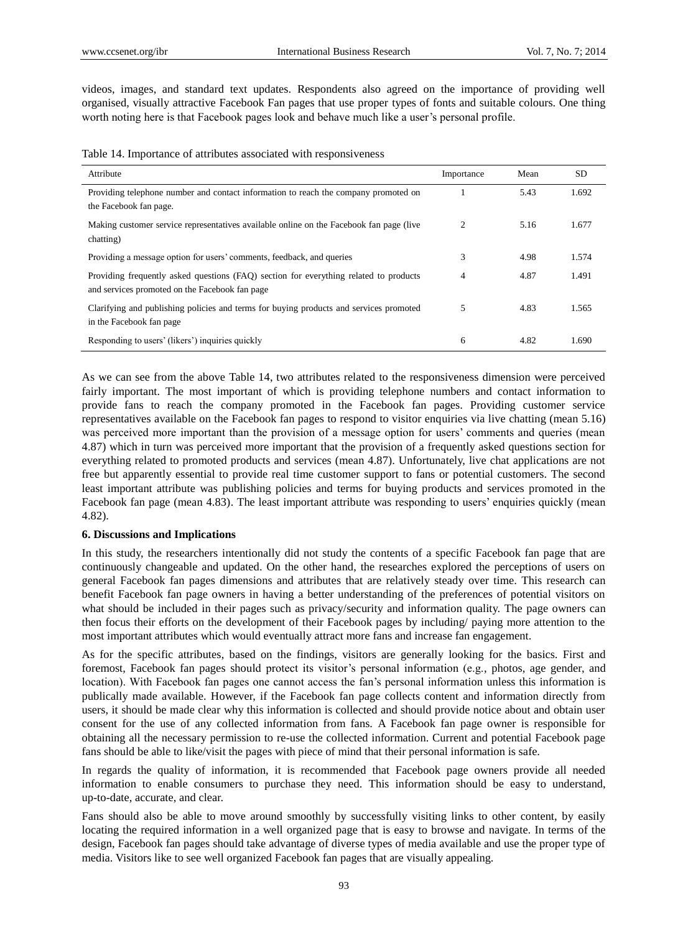videos, images, and standard text updates. Respondents also agreed on the importance of providing well organised, visually attractive Facebook Fan pages that use proper types of fonts and suitable colours. One thing worth noting here is that Facebook pages look and behave much like a user's personal profile.

Table 14. Importance of attributes associated with responsiveness

| Attribute                                                                                                                               | Importance     | Mean | SD.   |
|-----------------------------------------------------------------------------------------------------------------------------------------|----------------|------|-------|
| Providing telephone number and contact information to reach the company promoted on<br>the Facebook fan page.                           |                | 5.43 | 1.692 |
| Making customer service representatives available online on the Facebook fan page (live<br>chatting)                                    | $\overline{c}$ | 5.16 | 1.677 |
| Providing a message option for users' comments, feedback, and queries                                                                   | 3              | 4.98 | 1.574 |
| Providing frequently asked questions (FAQ) section for everything related to products<br>and services promoted on the Facebook fan page | 4              | 4.87 | 1.491 |
| Clarifying and publishing policies and terms for buying products and services promoted<br>in the Facebook fan page                      | 5              | 4.83 | 1.565 |
| Responding to users' (likers') inquiries quickly                                                                                        | 6              | 4.82 | 1.690 |

As we can see from the above Table 14, two attributes related to the responsiveness dimension were perceived fairly important. The most important of which is providing telephone numbers and contact information to provide fans to reach the company promoted in the Facebook fan pages. Providing customer service representatives available on the Facebook fan pages to respond to visitor enquiries via live chatting (mean 5.16) was perceived more important than the provision of a message option for users' comments and queries (mean 4.87) which in turn was perceived more important that the provision of a frequently asked questions section for everything related to promoted products and services (mean 4.87). Unfortunately, live chat applications are not free but apparently essential to provide real time customer support to fans or potential customers. The second least important attribute was publishing policies and terms for buying products and services promoted in the Facebook fan page (mean 4.83). The least important attribute was responding to users' enquiries quickly (mean 4.82).

# **6. Discussions and Implications**

In this study, the researchers intentionally did not study the contents of a specific Facebook fan page that are continuously changeable and updated. On the other hand, the researches explored the perceptions of users on general Facebook fan pages dimensions and attributes that are relatively steady over time. This research can benefit Facebook fan page owners in having a better understanding of the preferences of potential visitors on what should be included in their pages such as privacy/security and information quality. The page owners can then focus their efforts on the development of their Facebook pages by including/ paying more attention to the most important attributes which would eventually attract more fans and increase fan engagement.

As for the specific attributes, based on the findings, visitors are generally looking for the basics. First and foremost, Facebook fan pages should protect its visitor's personal information (e.g., photos, age gender, and location). With Facebook fan pages one cannot access the fan's personal information unless this information is publically made available. However, if the Facebook fan page collects content and information directly from users, it should be made clear why this information is collected and should provide notice about and obtain user consent for the use of any collected information from fans. A Facebook fan page owner is responsible for obtaining all the necessary permission to re-use the collected information. Current and potential Facebook page fans should be able to like/visit the pages with piece of mind that their personal information is safe.

In regards the quality of information, it is recommended that Facebook page owners provide all needed information to enable consumers to purchase they need. This information should be easy to understand, up-to-date, accurate, and clear.

Fans should also be able to move around smoothly by successfully visiting links to other content, by easily locating the required information in a well organized page that is easy to browse and navigate. In terms of the design, Facebook fan pages should take advantage of diverse types of media available and use the proper type of media. Visitors like to see well organized Facebook fan pages that are visually appealing.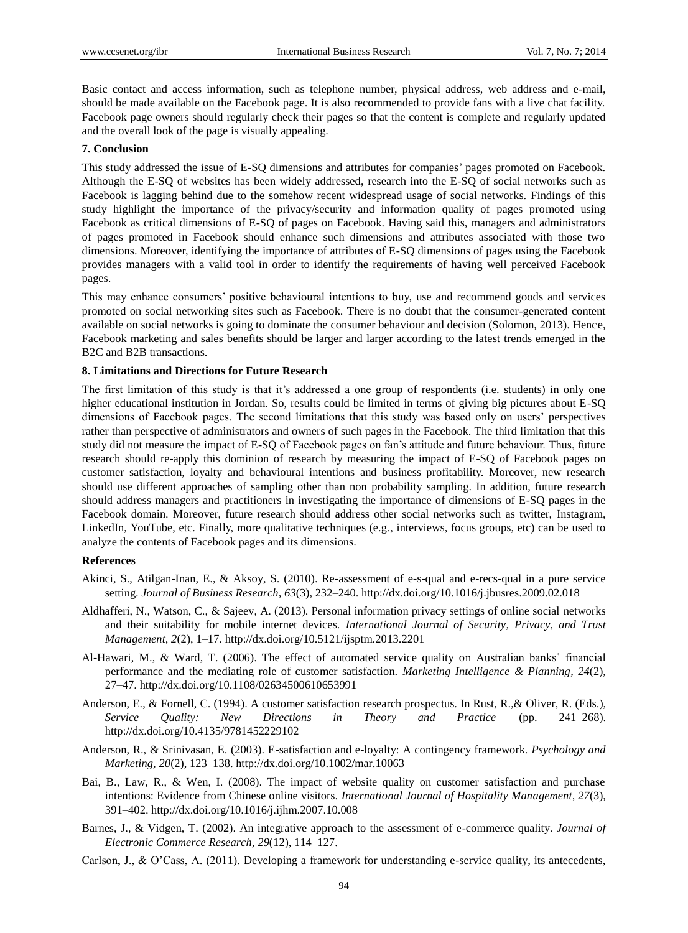Basic contact and access information, such as telephone number, physical address, web address and e-mail, should be made available on the Facebook page. It is also recommended to provide fans with a live chat facility. Facebook page owners should regularly check their pages so that the content is complete and regularly updated and the overall look of the page is visually appealing.

#### **7. Conclusion**

This study addressed the issue of E-SQ dimensions and attributes for companies' pages promoted on Facebook. Although the E-SQ of websites has been widely addressed, research into the E-SQ of social networks such as Facebook is lagging behind due to the somehow recent widespread usage of social networks. Findings of this study highlight the importance of the privacy/security and information quality of pages promoted using Facebook as critical dimensions of E-SQ of pages on Facebook. Having said this, managers and administrators of pages promoted in Facebook should enhance such dimensions and attributes associated with those two dimensions. Moreover, identifying the importance of attributes of E-SQ dimensions of pages using the Facebook provides managers with a valid tool in order to identify the requirements of having well perceived Facebook pages.

This may enhance consumers' positive behavioural intentions to buy, use and recommend goods and services promoted on social networking sites such as Facebook. There is no doubt that the consumer-generated content available on social networks is going to dominate the consumer behaviour and decision (Solomon, 2013). Hence, Facebook marketing and sales benefits should be larger and larger according to the latest trends emerged in the B2C and B2B transactions.

## **8. Limitations and Directions for Future Research**

The first limitation of this study is that it's addressed a one group of respondents (i.e. students) in only one higher educational institution in Jordan. So, results could be limited in terms of giving big pictures about E-SQ dimensions of Facebook pages. The second limitations that this study was based only on users' perspectives rather than perspective of administrators and owners of such pages in the Facebook. The third limitation that this study did not measure the impact of E-SQ of Facebook pages on fan's attitude and future behaviour. Thus, future research should re-apply this dominion of research by measuring the impact of E-SQ of Facebook pages on customer satisfaction, loyalty and behavioural intentions and business profitability. Moreover, new research should use different approaches of sampling other than non probability sampling. In addition, future research should address managers and practitioners in investigating the importance of dimensions of E-SQ pages in the Facebook domain. Moreover, future research should address other social networks such as twitter, Instagram, LinkedIn, YouTube, etc. Finally, more qualitative techniques (e.g., interviews, focus groups, etc) can be used to analyze the contents of Facebook pages and its dimensions.

# **References**

- Akinci, S., Atilgan-Inan, E., & Aksoy, S. (2010). Re-assessment of e-s-qual and e-recs-qual in a pure service setting. *Journal of Business Research, 63*(3), 232–240. http://dx.doi.org/10.1016/j.jbusres.2009.02.018
- Aldhafferi, N., Watson, C., & Sajeev, A. (2013). Personal information privacy settings of online social networks and their suitability for mobile internet devices. *International Journal of Security, Privacy, and Trust Management, 2*(2), 1–17. http://dx.doi.org/10.5121/ijsptm.2013.2201
- Al-Hawari, M., & Ward, T. (2006). The effect of automated service quality on Australian banks' financial performance and the mediating role of customer satisfaction. *Marketing Intelligence & Planning, 24*(2), 27–47. http://dx.doi.org/10.1108/02634500610653991
- Anderson, E., & Fornell, C. (1994). A customer satisfaction research prospectus. In Rust, R.,& Oliver, R. (Eds.), *Service Quality: New Directions in Theory and Practice* (pp. 241–268). http://dx.doi.org/10.4135/9781452229102
- Anderson, R., & Srinivasan, E. (2003). E-satisfaction and e-loyalty: A contingency framework. *Psychology and Marketing, 20*(2), 123–138. http://dx.doi.org/10.1002/mar.10063
- Bai, B., Law, R., & Wen, I. (2008). The impact of website quality on customer satisfaction and purchase intentions: Evidence from Chinese online visitors. *International Journal of Hospitality Management, 27*(3), 391–402. http://dx.doi.org/10.1016/j.ijhm.2007.10.008
- Barnes, J., & Vidgen, T. (2002). An integrative approach to the assessment of e-commerce quality. *Journal of Electronic Commerce Research, 29*(12), 114–127.
- Carlson, J., & O'Cass, A. (2011). Developing a framework for understanding e-service quality, its antecedents,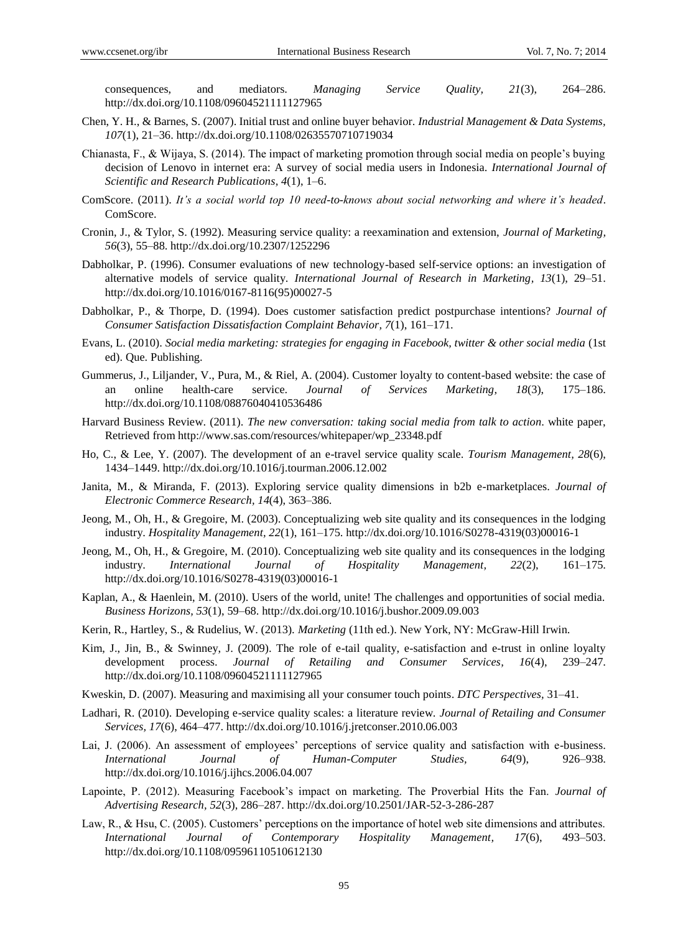consequences, and mediators. *Managing Service Quality, 21*(3), 264–286. http://dx.doi.org/10.1108/09604521111127965

- Chen, Y. H., & Barnes, S. (2007). Initial trust and online buyer behavior. *Industrial Management & Data Systems, 107*(1), 21–36. http://dx.doi.org/10.1108/02635570710719034
- Chianasta, F., & Wijaya, S. (2014). The impact of marketing promotion through social media on people's buying decision of Lenovo in internet era: A survey of social media users in Indonesia. *International Journal of Scientific and Research Publications, 4*(1), 1–6.
- ComScore. (2011). *It's a social world top 10 need-to-knows about social networking and where it's headed*. ComScore.
- Cronin, J., & Tylor, S. (1992). Measuring service quality: a reexamination and extension, *Journal of Marketing, 56*(3), 55–88. http://dx.doi.org/10.2307/1252296
- Dabholkar, P. (1996). Consumer evaluations of new technology-based self-service options: an investigation of alternative models of service quality. *International Journal of Research in Marketing, 13*(1), 29–51. http://dx.doi.org/10.1016/0167-8116(95)00027-5
- Dabholkar, P., & Thorpe, D. (1994). Does customer satisfaction predict postpurchase intentions? *Journal of Consumer Satisfaction Dissatisfaction Complaint Behavior, 7*(1), 161–171.
- Evans, L. (2010). *Social media marketing: strategies for engaging in Facebook, twitter & other social media* (1st ed). Que. Publishing.
- Gummerus, J., Liljander, V., Pura, M., & Riel, A. (2004). Customer loyalty to content-based website: the case of an online health-care service. *Journal of Services Marketing, 18*(3), 175–186. http://dx.doi.org/10.1108/08876040410536486
- Harvard Business Review. (2011). *The new conversation: taking social media from talk to action*. white paper, Retrieved from http://www.sas.com/resources/whitepaper/wp\_23348.pdf
- Ho, C., & Lee, Y. (2007). The development of an e-travel service quality scale. *Tourism Management, 28*(6), 1434–1449. http://dx.doi.org/10.1016/j.tourman.2006.12.002
- Janita, M., & Miranda, F. (2013). Exploring service quality dimensions in b2b e-marketplaces. *Journal of Electronic Commerce Research, 14*(4), 363–386.
- Jeong, M., Oh, H., & Gregoire, M. (2003). Conceptualizing web site quality and its consequences in the lodging industry. *Hospitality Management, 22*(1), 161–175. http://dx.doi.org/10.1016/S0278-4319(03)00016-1
- Jeong, M., Oh, H., & Gregoire, M. (2010). Conceptualizing web site quality and its consequences in the lodging industry. *International Journal of Hospitality Management, 22*(2), 161–175. http://dx.doi.org/10.1016/S0278-4319(03)00016-1
- Kaplan, A., & Haenlein, M. (2010). Users of the world, unite! The challenges and opportunities of social media. *Business Horizons, 53*(1), 59–68. http://dx.doi.org/10.1016/j.bushor.2009.09.003
- Kerin, R., Hartley, S., & Rudelius, W. (2013). *Marketing* (11th ed.). New York, NY: McGraw-Hill Irwin.
- Kim, J., Jin, B., & Swinney, J. (2009). The role of e-tail quality, e-satisfaction and e-trust in online loyalty development process. *Journal of Retailing and Consumer Services, 16*(4), 239–247. http://dx.doi.org/10.1108/09604521111127965
- Kweskin, D. (2007). Measuring and maximising all your consumer touch points. *DTC Perspectives,* 31–41.
- Ladhari, R. (2010). Developing e-service quality scales: a literature review. *Journal of Retailing and Consumer Services, 17*(6), 464–477. http://dx.doi.org/10.1016/j.jretconser.2010.06.003
- Lai, J. (2006). An assessment of employees' perceptions of service quality and satisfaction with e-business. *International Journal of Human-Computer Studies, 64*(9), 926–938. http://dx.doi.org/10.1016/j.ijhcs.2006.04.007
- Lapointe, P. (2012). Measuring Facebook's impact on marketing. The Proverbial Hits the Fan. *Journal of Advertising Research, 52*(3), 286–287. http://dx.doi.org/10.2501/JAR-52-3-286-287
- Law, R., & Hsu, C. (2005). Customers' perceptions on the importance of hotel web site dimensions and attributes. *International Journal of Contemporary Hospitality Management, 17*(6), 493–503. http://dx.doi.org/10.1108/09596110510612130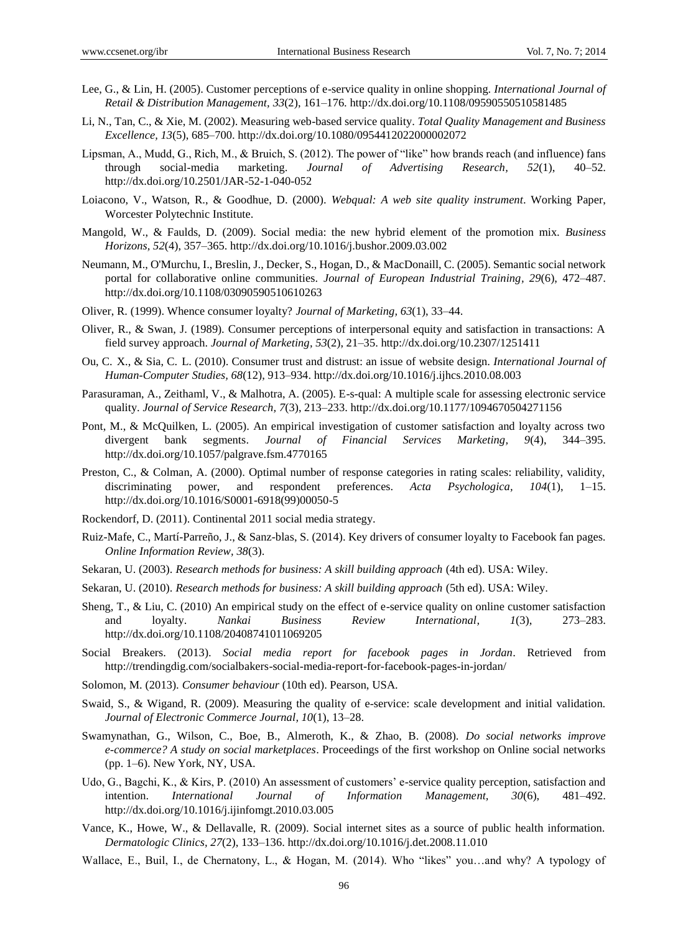- Lee, G., & Lin, H. (2005). Customer perceptions of e-service quality in online shopping. *International Journal of Retail & Distribution Management, 33*(2), 161–176. http://dx.doi.org/10.1108/09590550510581485
- Li, N., Tan, C., & Xie, M. (2002). Measuring web-based service quality. *Total Quality Management and Business Excellence, 13*(5), 685–700. http://dx.doi.org/10.1080/0954412022000002072
- Lipsman, A., Mudd, G., Rich, M., & Bruich, S. (2012). The power of "like" how brands reach (and influence) fans through social-media marketing. *Journal of Advertising Research, 52*(1), 40–52. http://dx.doi.org/10.2501/JAR-52-1-040-052
- Loiacono, V., Watson, R., & Goodhue, D. (2000). *Webqual: A web site quality instrument*. Working Paper, Worcester Polytechnic Institute.
- Mangold, W., & Faulds, D. (2009). Social media: the new hybrid element of the promotion mix. *Business Horizons, 52*(4), 357–365. http://dx.doi.org/10.1016/j.bushor.2009.03.002
- Neumann, M., O'Murchu, I., Breslin, J., Decker, S., Hogan, D., & MacDonaill, C. (2005). Semantic social network portal for collaborative online communities. *Journal of European Industrial Training, 29*(6), 472–487. http://dx.doi.org/10.1108/03090590510610263
- Oliver, R. (1999). Whence consumer loyalty? *Journal of Marketing, 63*(1), 33–44.
- Oliver, R., & Swan, J. (1989). Consumer perceptions of interpersonal equity and satisfaction in transactions: A field survey approach. *Journal of Marketing, 53*(2), 21–35. http://dx.doi.org/10.2307/1251411
- Ou, C. X., & Sia, C. L. (2010). Consumer trust and distrust: an issue of website design. *International Journal of Human-Computer Studies, 68*(12), 913–934. http://dx.doi.org/10.1016/j.ijhcs.2010.08.003
- Parasuraman, A., Zeithaml, V., & Malhotra, A. (2005). E-s-qual: A multiple scale for assessing electronic service quality. *Journal of Service Research, 7*(3), 213–233. http://dx.doi.org/10.1177/1094670504271156
- Pont, M., & McQuilken, L. (2005). An empirical investigation of customer satisfaction and loyalty across two divergent bank segments. *Journal of Financial Services Marketing, 9*(4), 344–395. http://dx.doi.org/10.1057/palgrave.fsm.4770165
- Preston, C., & Colman, A. (2000). Optimal number of response categories in rating scales: reliability, validity, discriminating power, and respondent preferences. *Acta Psychologica, 104*(1), 1–15. http://dx.doi.org/10.1016/S0001-6918(99)00050-5
- Rockendorf, D. (2011). Continental 2011 social media strategy.
- Ruiz-Mafe, C., Mart í Parreño, J., & Sanz-blas, S. (2014). Key drivers of consumer loyalty to Facebook fan pages. *Online Information Review, 38*(3).
- Sekaran, U. (2003). *Research methods for business: A skill building approach* (4th ed). USA: Wiley.
- Sekaran, U. (2010). *Research methods for business: A skill building approach* (5th ed). USA: Wiley.
- Sheng, T., & Liu, C. (2010) An empirical study on the effect of e-service quality on online customer satisfaction and loyalty. *Nankai Business Review International, 1*(3), 273–283. http://dx.doi.org/10.1108/20408741011069205
- Social Breakers. (2013). *Social media report for facebook pages in Jordan*. Retrieved from http://trendingdig.com/socialbakers-social-media-report-for-facebook-pages-in-jordan/
- Solomon, M. (2013). *Consumer behaviour* (10th ed). Pearson, USA.
- Swaid, S., & Wigand, R. (2009). Measuring the quality of e-service: scale development and initial validation. *Journal of Electronic Commerce Journal, 10*(1), 13–28.
- Swamynathan, G., Wilson, C., Boe, B., Almeroth, K., & Zhao, B. (2008). *Do social networks improve e-commerce? A study on social marketplaces*. Proceedings of the first workshop on Online social networks (pp. 1–6). New York, NY, USA.
- Udo, G., Bagchi, K., & Kirs, P. (2010) An assessment of customers' e-service quality perception, satisfaction and intention. *International Journal of Information Management, 30*(6), 481–492. http://dx.doi.org/10.1016/j.ijinfomgt.2010.03.005
- Vance, K., Howe, W., & Dellavalle, R. (2009). Social internet sites as a source of public health information. *Dermatologic Clinics, 27*(2), 133–136. http://dx.doi.org/10.1016/j.det.2008.11.010
- Wallace, E., Buil, I., de Chernatony, L., & Hogan, M. (2014). Who "likes" you…and why? A typology of